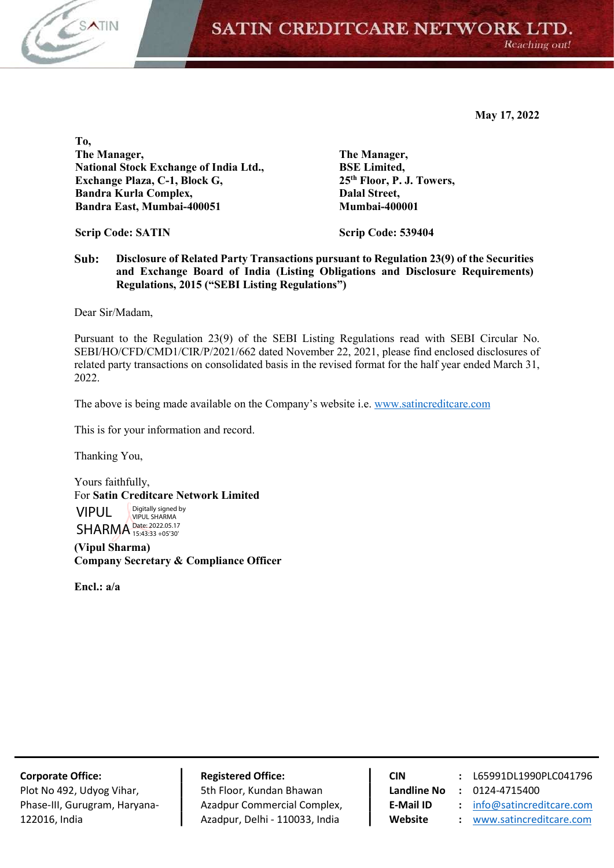

SATIN CREDITCARE NETWORK LTD. Reaching out!

May 17, 2022

To, The Manager, National Stock Exchange of India Ltd., Exchange Plaza, C-1, Block G, Bandra Kurla Complex, Bandra East, Mumbai-400051

Scrip Code: SATIN

 BSE Limited, 25th Floor, P. J. Towers, Dalal Street, Mumbai-400001

Scrip Code: 539404

The Manager,

Sub: Disclosure of Related Party Transactions pursuant to Regulation 23(9) of the Securities and Exchange Board of India (Listing Obligations and Disclosure Requirements) Regulations, 2015 ("SEBI Listing Regulations")

Dear Sir/Madam,

Pursuant to the Regulation 23(9) of the SEBI Listing Regulations read with SEBI Circular No. SEBI/HO/CFD/CMD1/CIR/P/2021/662 dated November 22, 2021, please find enclosed disclosures of related party transactions on consolidated basis in the revised format for the half year ended March 31, 2022.

The above is being made available on the Company's website i.e. www.satincreditcare.com

This is for your information and record.

Thanking You,

Yours faithfully, For Satin Creditcare Network Limited VIPUL SHARMA Date: 2022.05.17 Digitally signed by VIPUL SHARMA 15:43:33 +05'30'

(Vipul Sharma) Company Secretary & Compliance Officer

Encl.: a/a

Plot No 492, Udyog Vihar, **Fig. 1. Sth Floor, Kundan Bhawan** Landline No : 0124-4715400 Phase-III, Gurugram, Haryana- | Azadpur Commercial Complex, | E-Mail ID : info@satincreditcare.com 122016, India **Azadpur, Delhi - 110033, India Number of the Mebsite** : www.satincreditcare.com

Corporate Office: Registered Office: CIN : L65991DL1990PLC041796

- 
- 
-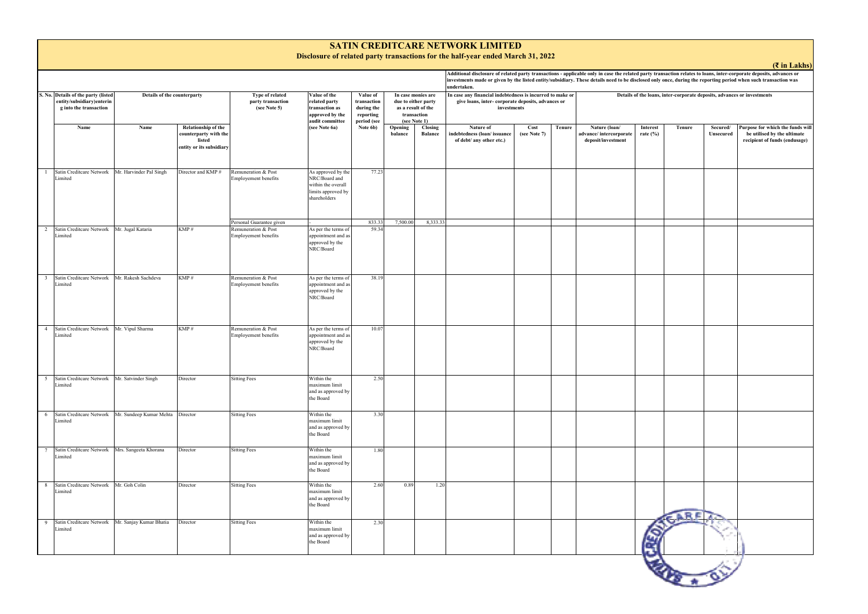|                         |                                                                                            |                             |                                                                                           |                                                      |                                                                                                 |                                                                   |                                                                                                |                           | Additional disclosure of related party transactions - applicable only in case the related party tr<br>investments made or given by the listed entity/subsidiary. These details need to be disclosed onl<br>undertaken. |                      |        |                                                               |                             |
|-------------------------|--------------------------------------------------------------------------------------------|-----------------------------|-------------------------------------------------------------------------------------------|------------------------------------------------------|-------------------------------------------------------------------------------------------------|-------------------------------------------------------------------|------------------------------------------------------------------------------------------------|---------------------------|------------------------------------------------------------------------------------------------------------------------------------------------------------------------------------------------------------------------|----------------------|--------|---------------------------------------------------------------|-----------------------------|
|                         | S. No. Details of the party (listed<br>entity/subsidiary)enterin<br>g into the transaction | Details of the counterparty |                                                                                           | Type of related<br>party transaction<br>(see Note 5) | Value of the<br>related party<br>transaction as<br>approved by the<br>audit committee           | Value of<br>transaction<br>during the<br>reporting<br>period (see | In case monies are<br>due to either party<br>as a result of the<br>transaction<br>(see Note 1) |                           | In case any financial indebtedness is incurred to make or<br>give loans, inter- corporate deposits, advances or<br>investments                                                                                         | Details of the loans |        |                                                               |                             |
|                         | Name                                                                                       | Name                        | <b>Relationship of the</b><br>counterparty with the<br>listed<br>entity or its subsidiary |                                                      | (see Note 6a)                                                                                   | Note 6b)                                                          | Opening<br>balance                                                                             | Closing<br><b>Balance</b> | Nature of<br>indebtedness (loan/issuance<br>of debt/ any other etc.)                                                                                                                                                   | Cost<br>(see Note 7) | Tenure | Nature (loan/<br>advance/intercorporate<br>deposit/investment | <b>Interest</b><br>rate (%) |
| -1                      | Satin Creditcare Network<br>Limited                                                        | Mr. Harvinder Pal Singh     | Director and KMP#                                                                         | Remuneration & Post<br>Employement benefits          | As approved by the<br>NRC/Board and<br>within the overall<br>limits approved by<br>shareholders | 77.23                                                             |                                                                                                |                           |                                                                                                                                                                                                                        |                      |        |                                                               |                             |
|                         |                                                                                            |                             |                                                                                           | Personal Guarantee given                             |                                                                                                 | 833.33                                                            | 7,500.00                                                                                       | 8,333.33                  |                                                                                                                                                                                                                        |                      |        |                                                               |                             |
| 2                       | Satin Creditcare Network<br>Limited                                                        | Mr. Jugal Kataria           | KMP#                                                                                      | Remuneration & Post<br>Employement benefits          | As per the terms of<br>appointment and as<br>approved by the<br>NRC/Board                       | 59.34                                                             |                                                                                                |                           |                                                                                                                                                                                                                        |                      |        |                                                               |                             |
| $\overline{\mathbf{3}}$ | Satin Creditcare Network<br>Limited                                                        | Mr. Rakesh Sachdeva         | KMP#                                                                                      | Remuneration & Post<br><b>Employement benefits</b>   | As per the terms of<br>appointment and as<br>approved by the<br>NRC/Board                       | 38.19                                                             |                                                                                                |                           |                                                                                                                                                                                                                        |                      |        |                                                               |                             |
| $\overline{4}$          | Satin Creditcare Network<br>Limited                                                        | Mr. Vipul Sharma            | KMP#                                                                                      | Remuneration & Post<br>Employement benefits          | As per the terms of<br>appointment and as<br>approved by the<br>NRC/Board                       | 10.07                                                             |                                                                                                |                           |                                                                                                                                                                                                                        |                      |        |                                                               |                             |
| 5 <sup>5</sup>          | Satin Creditcare Network<br>Limited                                                        | Mr. Satvinder Singh         | Director                                                                                  | <b>Sitting Fees</b>                                  | Within the<br>maximum limit<br>and as approved by<br>the Board                                  | 2.50                                                              |                                                                                                |                           |                                                                                                                                                                                                                        |                      |        |                                                               |                             |
| 6                       | Satin Creditcare Network Mr. Sundeep Kumar Mehta<br>Limited                                |                             | Director                                                                                  | <b>Sitting Fees</b>                                  | Within the<br>maximum limit<br>and as approved by<br>the Board                                  | 3.30                                                              |                                                                                                |                           |                                                                                                                                                                                                                        |                      |        |                                                               |                             |
| $\overline{7}$          | Satin Creditcare Network<br>Limited                                                        | Mrs. Sangeeta Khorana       | Director                                                                                  | <b>Sitting Fees</b>                                  | Within the<br>maximum limit<br>and as approved by<br>the Board                                  | 1.80                                                              |                                                                                                |                           |                                                                                                                                                                                                                        |                      |        |                                                               |                             |
| 8                       | Satin Creditcare Network<br>Limited                                                        | Mr. Goh Colin               | Director                                                                                  | <b>Sitting Fees</b>                                  | Within the<br>maximum limit<br>and as approved by<br>the Board                                  | 2.60                                                              | 0.89                                                                                           | 1.20                      |                                                                                                                                                                                                                        |                      |        |                                                               |                             |
| 9                       | Satin Creditcare Network Mr. Sanjay Kumar Bhatia<br>Limited                                |                             | Director                                                                                  | <b>Sitting Fees</b>                                  | Within the<br>maximum limit<br>and as approved by<br>the Board                                  | 2.30                                                              |                                                                                                |                           |                                                                                                                                                                                                                        |                      |        |                                                               | Ś                           |



## **SATIN CREDITCARE NETWORK LIMITED**

**Disclosure of related party transactions for the half-year ended March 31, 2022**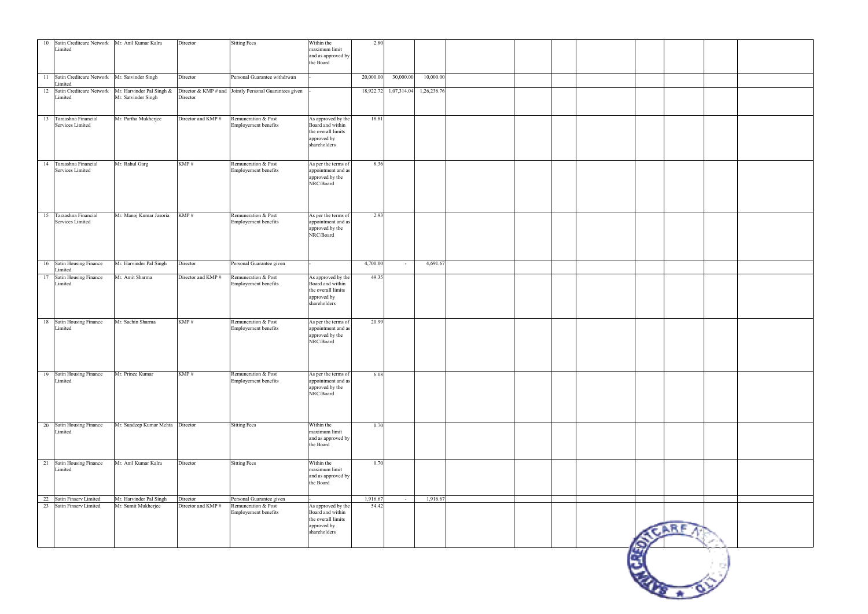|    | 10 Satin Creditcare Network Mr. Anil Kumar Kalra<br>Limited |                                                  | Director                       | <b>Sitting Fees</b>                                      | Within the<br>maximum limit<br>and as approved by<br>the Board                              | 2.80              |                       |             |  |  |          |  |  |
|----|-------------------------------------------------------------|--------------------------------------------------|--------------------------------|----------------------------------------------------------|---------------------------------------------------------------------------------------------|-------------------|-----------------------|-------------|--|--|----------|--|--|
|    | 11 Satin Creditcare Network Mr. Satvinder Singh<br>Limited  |                                                  | Director                       | Personal Guarantee withdrwan                             |                                                                                             | 20,000.00         | 30,000.00             | 10,000.00   |  |  |          |  |  |
|    | 12 Satin Creditcare Network<br>Limited                      | Mr. Harvinder Pal Singh &<br>Mr. Satvinder Singh | Director                       | Director & KMP $#$ and Jointly Personal Guarantees given |                                                                                             |                   | 18,922.72 1,07,314.04 | 1,26,236.76 |  |  |          |  |  |
|    | 13 Taraashna Financial<br>Services Limited                  | Mr. Partha Mukherjee                             | Director and KMP#              | Remuneration & Post<br>Employement benefits              | As approved by the<br>Board and within<br>the overall limits<br>approved by<br>shareholders | 18.81             |                       |             |  |  |          |  |  |
|    | 14 Taraashna Financial<br>Services Limited                  | Mr. Rahul Garg                                   | KMP#                           | Remuneration & Post<br>Employement benefits              | As per the terms of<br>appointment and as<br>approved by the<br>$\operatorname{NRC/Board}$  | 8.36              |                       |             |  |  |          |  |  |
|    | 15 Taraashna Financial<br>Services Limited                  | Mr. Manoj Kumar Jasoria                          | KMP#                           | Remuneration & Post<br>Employement benefits              | As per the terms of<br>appointment and as<br>approved by the<br>NRC/Board                   | 2.93              |                       |             |  |  |          |  |  |
|    | 16 Satin Housing Finance<br>Limited                         | Mr. Harvinder Pal Singh                          | Director                       | Personal Guarantee given                                 |                                                                                             | 4,700.00          | $\sim$                | 4,691.67    |  |  |          |  |  |
| 17 | Satin Housing Finance<br>Limited                            | Mr. Amit Sharma                                  | Director and KMP #             | Remuneration & Post<br>Employement benefits              | As approved by the<br>Board and within<br>the overall limits<br>approved by<br>shareholders | 49.35             |                       |             |  |  |          |  |  |
|    | 18 Satin Housing Finance<br>Limited                         | Mr. Sachin Sharma                                | KMP#                           | Remuneration & Post<br>Employement benefits              | As per the terms of<br>appointment and as<br>approved by the<br>$\operatorname{NRC/Board}$  | 20.99             |                       |             |  |  |          |  |  |
|    | 19 Satin Housing Finance<br>Limited                         | Mr. Prince Kumar                                 | KMP#                           | Remuneration & Post<br>Employement benefits              | As per the terms of<br>appointment and as<br>approved by the<br>$\operatorname{NRC/Board}$  | 6.08              |                       |             |  |  |          |  |  |
|    | 20 Satin Housing Finance<br>Limited                         | Mr. Sundeep Kumar Mehta Director                 |                                | <b>Sitting Fees</b>                                      | Within the<br>maximum limit<br>and as approved by<br>the Board                              | 0.70              |                       |             |  |  |          |  |  |
|    | 21 Satin Housing Finance<br>Limited                         | Mr. Anil Kumar Kalra                             | Director                       | <b>Sitting Fees</b>                                      | Within the<br>maximum limit<br>and as approved by<br>the Board                              | 0.70              |                       |             |  |  |          |  |  |
|    | 22 Satin Finserv Limited<br>23 Satin Finserv Limited        | Mr. Harvinder Pal Singh<br>Mr. Sumit Mukherjee   | Director<br>Director and KMP # | Personal Guarantee given<br>Remuneration & Post          | As approved by the                                                                          | 1,916.67<br>54.42 | $\sim$ $-$            | 1,916.67    |  |  |          |  |  |
|    |                                                             |                                                  |                                | Employement benefits                                     | Board and within<br>the overall limits<br>approved by<br>shareholders                       |                   |                       |             |  |  |          |  |  |
|    |                                                             |                                                  |                                |                                                          |                                                                                             |                   |                       |             |  |  | S<br>άť, |  |  |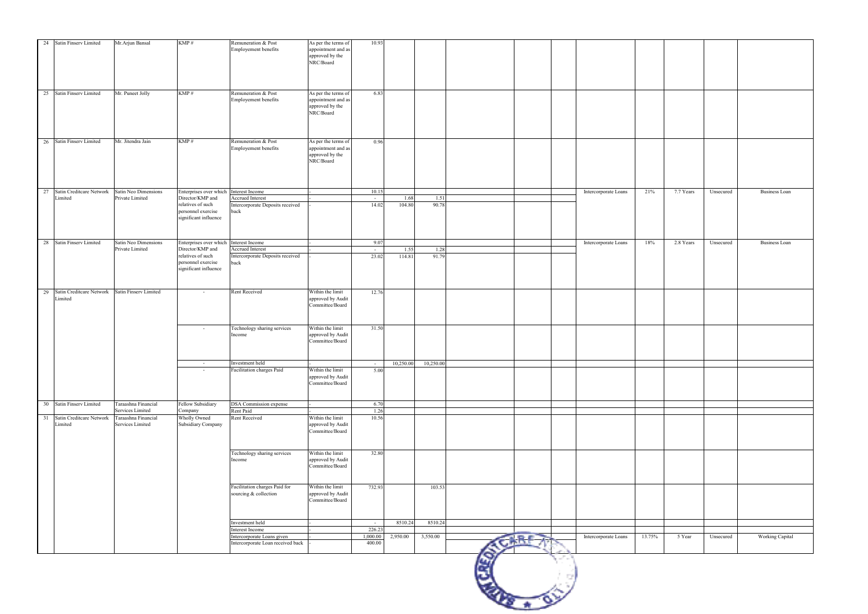|    | 24 Satin Finserv Limited               | Mr.Arjun Bansal                         | KMP#                                                             | Remuneration & Post<br>Employement benefits            | As per the terms of<br>appointment and as<br>approved by the<br>$\rm NRC/Board$ | 10.93            |          |                     |  |                      |        |           |           |                      |
|----|----------------------------------------|-----------------------------------------|------------------------------------------------------------------|--------------------------------------------------------|---------------------------------------------------------------------------------|------------------|----------|---------------------|--|----------------------|--------|-----------|-----------|----------------------|
|    | 25 Satin Finserv Limited               | Mr. Puneet Jolly                        | KMP#                                                             | Remuneration & Post<br>Employement benefits            | As per the terms of<br>appointment and as<br>approved by the<br>NRC/Board       | 6.83             |          |                     |  |                      |        |           |           |                      |
|    | 26 Satin Finserv Limited               | Mr. Jitendra Jain                       | KMP#                                                             | Remuneration & Post                                    | As per the terms of                                                             | 0.96             |          |                     |  |                      |        |           |           |                      |
|    |                                        |                                         |                                                                  | Employement benefits                                   | appointment and as<br>approved by the<br>$\rm NRC/Board$                        |                  |          |                     |  |                      |        |           |           |                      |
|    | 27 Satin Creditcare Network            | Satin Neo Dimensions                    | Enterprises over which Interest Income                           |                                                        |                                                                                 | 10.15            |          |                     |  | Intercorporate Loans | 21%    | 7.7 Years | Unsecured | <b>Business Loan</b> |
|    | Limited                                | Private Limited                         | Director/KMP and                                                 | Accrued Interest                                       |                                                                                 | $\sim$           | 1.68     | 1.51                |  |                      |        |           |           |                      |
|    |                                        |                                         | relatives of such<br>personnel exercise<br>significant influence | Intercorporate Deposits received<br>back               |                                                                                 | 14.02            | 104.80   | 90.78               |  |                      |        |           |           |                      |
| 28 | Satin Finserv Limited                  | Satin Neo Dimensions                    | Enterprises over which                                           | Interest Income                                        |                                                                                 | 9.07             |          |                     |  | Intercorporate Loans | 18%    | 2.8 Years | Unsecured | <b>Business Loan</b> |
|    |                                        | Private Limited                         | Director/KMP and                                                 | Accrued Interest                                       |                                                                                 | $\sim$           | 1.55     | 1.28                |  |                      |        |           |           |                      |
|    |                                        |                                         | relatives of such<br>personnel exercise<br>significant influence | Intercorporate Deposits received<br>back               |                                                                                 | 23.02            | 114.81   | 91.79               |  |                      |        |           |           |                      |
|    | 29 Satin Creditcare Network<br>Limited | Satin Finserv Limited                   | $\sim$                                                           | Rent Received                                          | Within the limit<br>approved by Audit<br>Committee/Board                        | 12.76            |          |                     |  |                      |        |           |           |                      |
|    |                                        |                                         | $\sim$                                                           | Technology sharing services<br>Income                  | Within the limit<br>approved by Audit<br>Committee/Board                        | 31.50            |          |                     |  |                      |        |           |           |                      |
|    |                                        |                                         |                                                                  | Investment held                                        |                                                                                 |                  |          | 10,250.00 10,250.00 |  |                      |        |           |           |                      |
|    |                                        |                                         | $\sim$                                                           | Facilitation charges Paid                              | Within the limit                                                                | 5.00             |          |                     |  |                      |        |           |           |                      |
|    |                                        |                                         |                                                                  |                                                        | approved by Audit<br>Committee/Board                                            |                  |          |                     |  |                      |        |           |           |                      |
|    | 30 Satin Finserv Limited               | Taraashna Financial                     | Fellow Subsidiary                                                | DSA Commission expense                                 |                                                                                 | 6.70             |          |                     |  |                      |        |           |           |                      |
|    |                                        | Services Limited                        | Company                                                          | Rent Paid                                              |                                                                                 | 1.26             |          |                     |  |                      |        |           |           |                      |
| 31 | Satin Creditcare Network<br>Limited    | Taraashna Financial<br>Services Limited | Wholly Owned<br>Subsidiary Company                               | Rent Received                                          | Within the limit<br>approved by Audit<br>Committee/Board                        | 10.56            |          |                     |  |                      |        |           |           |                      |
|    |                                        |                                         |                                                                  | Technology sharing services<br>Income                  | Within the limit<br>approved by Audit<br>Committee/Board                        | 32.80            |          |                     |  |                      |        |           |           |                      |
|    |                                        |                                         |                                                                  | Facilitation charges Paid for<br>sourcing & collection | Within the limit<br>approved by Audit<br>Committee/Board                        | 732.93           |          | 103.53              |  |                      |        |           |           |                      |
|    |                                        |                                         |                                                                  |                                                        |                                                                                 |                  |          |                     |  |                      |        |           |           |                      |
|    |                                        |                                         |                                                                  | Investment held<br>Interest Income                     |                                                                                 | $\sim$<br>226.23 | 8510.24  | 8510.24             |  |                      |        |           |           |                      |
|    |                                        |                                         |                                                                  | Intercorporate Loans given                             |                                                                                 | 1,000.00         | 2,950.00 | 3,550.00            |  | Intercorporate Loans | 13.75% | 5 Year    | Unsecured | Working Capital      |
|    |                                        |                                         |                                                                  | Intercorporate Loan received back                      |                                                                                 | 400.00           |          |                     |  |                      |        |           |           |                      |
|    |                                        |                                         |                                                                  |                                                        |                                                                                 |                  |          |                     |  |                      |        |           |           |                      |